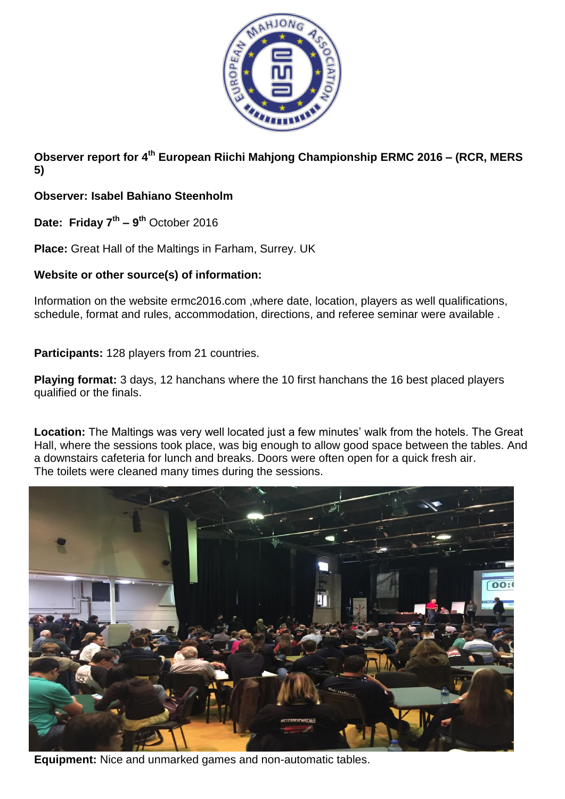

**Observer report for 4 th European Riichi Mahjong Championship ERMC 2016 – (RCR, MERS 5)**

**Observer: Isabel Bahiano Steenholm**

**Date: Friday 7th – 9 th** October 2016

**Place:** Great Hall of the Maltings in Farham, Surrey. UK

## **Website or other source(s) of information:**

Information on the website ermc2016.com ,where date, location, players as well qualifications, schedule, format and rules, accommodation, directions, and referee seminar were available .

**Participants:** 128 players from 21 countries.

**Playing format:** 3 days, 12 hanchans where the 10 first hanchans the 16 best placed players qualified or the finals.

**Location:** The Maltings was very well located just a few minutes' walk from the hotels. The Great Hall, where the sessions took place, was big enough to allow good space between the tables. And a downstairs cafeteria for lunch and breaks. Doors were often open for a quick fresh air. The toilets were cleaned many times during the sessions.



**Equipment:** Nice and unmarked games and non-automatic tables.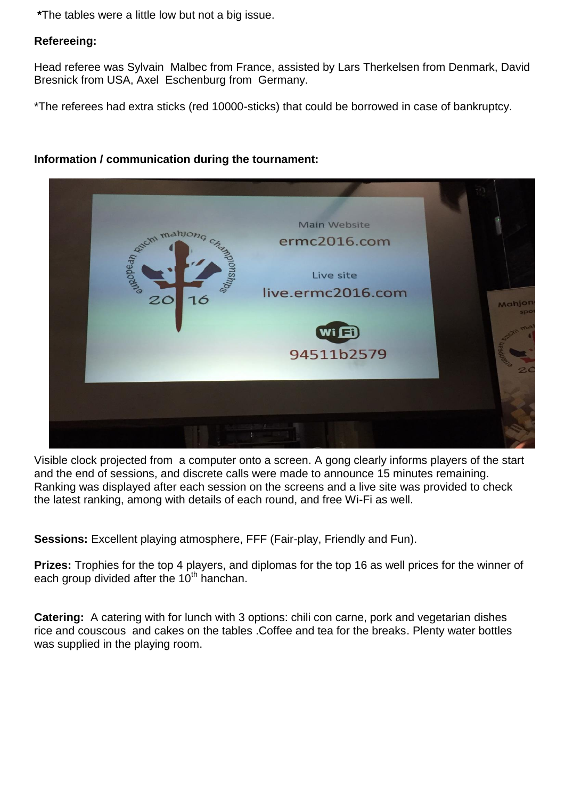**\***The tables were a little low but not a big issue.

## **Refereeing:**

Head referee was Sylvain Malbec from France, assisted by Lars Therkelsen from Denmark, David Bresnick from USA, Axel Eschenburg from Germany.

\*The referees had extra sticks (red 10000-sticks) that could be borrowed in case of bankruptcy.

## **Information / communication during the tournament:**



Visible clock projected from a computer onto a screen. A gong clearly informs players of the start and the end of sessions, and discrete calls were made to announce 15 minutes remaining. Ranking was displayed after each session on the screens and a live site was provided to check the latest ranking, among with details of each round, and free Wi-Fi as well.

**Sessions:** Excellent playing atmosphere, FFF (Fair-play, Friendly and Fun).

**Prizes:** Trophies for the top 4 players, and diplomas for the top 16 as well prices for the winner of each group divided after the 10<sup>th</sup> hanchan.

**Catering:** A catering with for lunch with 3 options: chili con carne, pork and vegetarian dishes rice and couscous and cakes on the tables .Coffee and tea for the breaks. Plenty water bottles was supplied in the playing room.